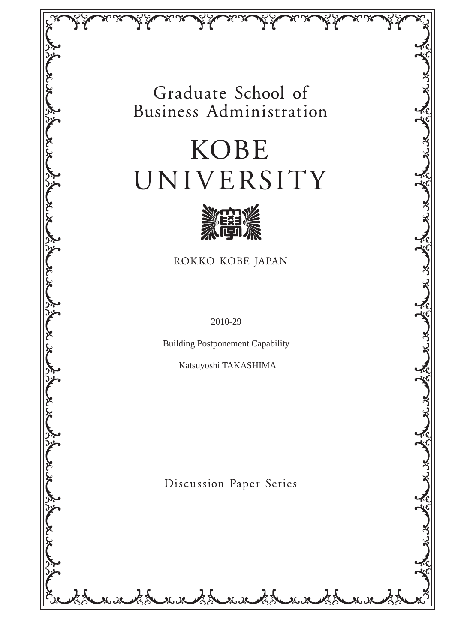# Graduate School of Business Administration

# **KOBE** UNIVERSITY



ROKKO KOBE JAPAN

بالدياف الجهل

بازيكل

大人

سكايى منكاف

ふく

2010-29

Building Postponement Capability

Katsuyoshi TAKASHIMA

Discussion Paper Series

 $25.28$ 

بدير بوريو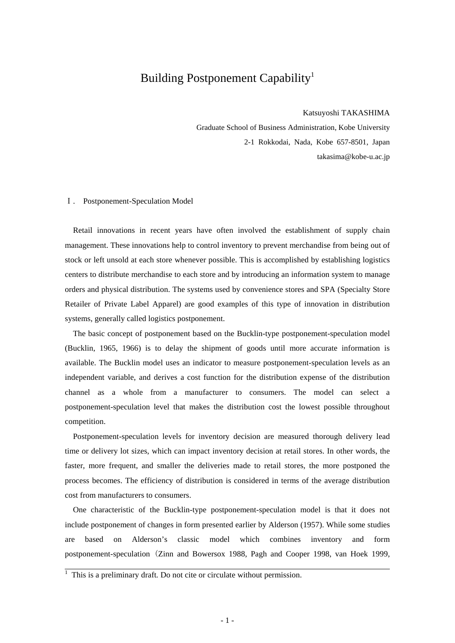## Building Postponement Capability<sup>1</sup>

Katsuyoshi TAKASHIMA

Graduate School of Business Administration, Kobe University 2-1 Rokkodai, Nada, Kobe 657-8501, Japan takasima@kobe-u.ac.jp

#### Ⅰ. Postponement-Speculation Model

Retail innovations in recent years have often involved the establishment of supply chain management. These innovations help to control inventory to prevent merchandise from being out of stock or left unsold at each store whenever possible. This is accomplished by establishing logistics centers to distribute merchandise to each store and by introducing an information system to manage orders and physical distribution. The systems used by convenience stores and SPA (Specialty Store Retailer of Private Label Apparel) are good examples of this type of innovation in distribution systems, generally called logistics postponement.

The basic concept of postponement based on the Bucklin-type postponement-speculation model (Bucklin, 1965, 1966) is to delay the shipment of goods until more accurate information is available. The Bucklin model uses an indicator to measure postponement-speculation levels as an independent variable, and derives a cost function for the distribution expense of the distribution channel as a whole from a manufacturer to consumers. The model can select a postponement-speculation level that makes the distribution cost the lowest possible throughout competition.

Postponement-speculation levels for inventory decision are measured thorough delivery lead time or delivery lot sizes, which can impact inventory decision at retail stores. In other words, the faster, more frequent, and smaller the deliveries made to retail stores, the more postponed the process becomes. The efficiency of distribution is considered in terms of the average distribution cost from manufacturers to consumers.

One characteristic of the Bucklin-type postponement-speculation model is that it does not include postponement of changes in form presented earlier by Alderson (1957). While some studies are based on Alderson's classic model which combines inventory and form postponement-speculation (Zinn and Bowersox 1988, Pagh and Cooper 1998, van Hoek 1999,

<sup>&</sup>lt;sup>1</sup> This is a preliminary draft. Do not cite or circulate without permission.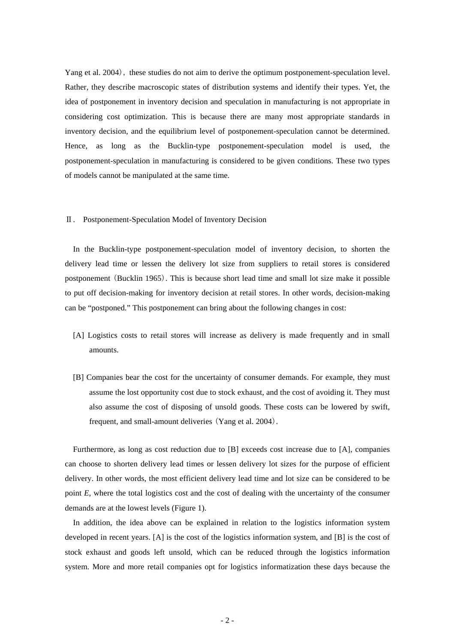Yang et al. 2004), these studies do not aim to derive the optimum postponement-speculation level. Rather, they describe macroscopic states of distribution systems and identify their types. Yet, the idea of postponement in inventory decision and speculation in manufacturing is not appropriate in considering cost optimization. This is because there are many most appropriate standards in inventory decision, and the equilibrium level of postponement-speculation cannot be determined. Hence, as long as the Bucklin-type postponement-speculation model is used, the postponement-speculation in manufacturing is considered to be given conditions. These two types of models cannot be manipulated at the same time.

#### Ⅱ. Postponement-Speculation Model of Inventory Decision

In the Bucklin-type postponement-speculation model of inventory decision, to shorten the delivery lead time or lessen the delivery lot size from suppliers to retail stores is considered postponement (Bucklin 1965). This is because short lead time and small lot size make it possible to put off decision-making for inventory decision at retail stores. In other words, decision-making can be "postponed." This postponement can bring about the following changes in cost:

- [A] Logistics costs to retail stores will increase as delivery is made frequently and in small amounts.
- [B] Companies bear the cost for the uncertainty of consumer demands. For example, they must assume the lost opportunity cost due to stock exhaust, and the cost of avoiding it. They must also assume the cost of disposing of unsold goods. These costs can be lowered by swift, frequent, and small-amount deliveries (Yang et al. 2004).

Furthermore, as long as cost reduction due to [B] exceeds cost increase due to [A], companies can choose to shorten delivery lead times or lessen delivery lot sizes for the purpose of efficient delivery. In other words, the most efficient delivery lead time and lot size can be considered to be point *E*, where the total logistics cost and the cost of dealing with the uncertainty of the consumer demands are at the lowest levels (Figure 1).

In addition, the idea above can be explained in relation to the logistics information system developed in recent years. [A] is the cost of the logistics information system, and [B] is the cost of stock exhaust and goods left unsold, which can be reduced through the logistics information system. More and more retail companies opt for logistics informatization these days because the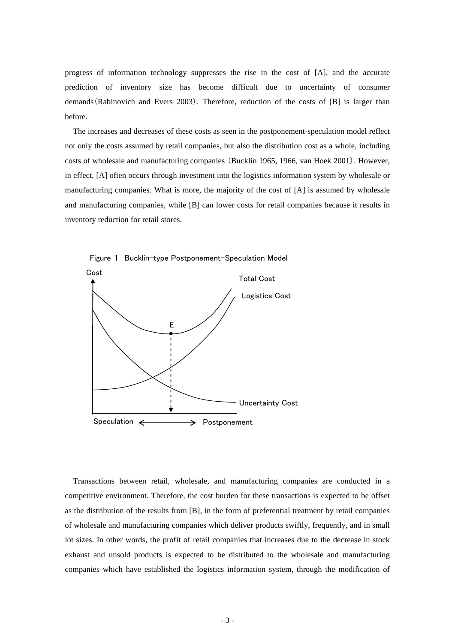progress of information technology suppresses the rise in the cost of [A], and the accurate prediction of inventory size has become difficult due to uncertainty of consumer demands(Rabinovich and Evers 2003). Therefore, reduction of the costs of [B] is larger than before.

The increases and decreases of these costs as seen in the postponement-speculation model reflect not only the costs assumed by retail companies, but also the distribution cost as a whole, including costs of wholesale and manufacturing companies (Bucklin 1965, 1966, van Hoek 2001). However, in effect, [A] often occurs through investment into the logistics information system by wholesale or manufacturing companies. What is more, the majority of the cost of [A] is assumed by wholesale and manufacturing companies, while [B] can lower costs for retail companies because it results in inventory reduction for retail stores.





Transactions between retail, wholesale, and manufacturing companies are conducted in a competitive environment. Therefore, the cost burden for these transactions is expected to be offset as the distribution of the results from [B], in the form of preferential treatment by retail companies of wholesale and manufacturing companies which deliver products swiftly, frequently, and in small lot sizes. In other words, the profit of retail companies that increases due to the decrease in stock exhaust and unsold products is expected to be distributed to the wholesale and manufacturing companies which have established the logistics information system, through the modification of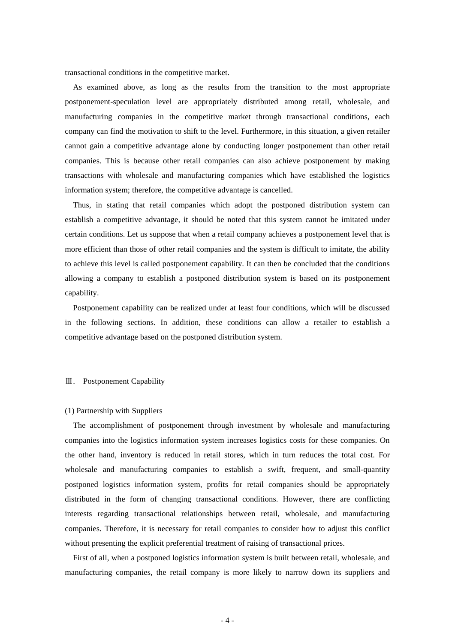transactional conditions in the competitive market.

As examined above, as long as the results from the transition to the most appropriate postponement-speculation level are appropriately distributed among retail, wholesale, and manufacturing companies in the competitive market through transactional conditions, each company can find the motivation to shift to the level. Furthermore, in this situation, a given retailer cannot gain a competitive advantage alone by conducting longer postponement than other retail companies. This is because other retail companies can also achieve postponement by making transactions with wholesale and manufacturing companies which have established the logistics information system; therefore, the competitive advantage is cancelled.

Thus, in stating that retail companies which adopt the postponed distribution system can establish a competitive advantage, it should be noted that this system cannot be imitated under certain conditions. Let us suppose that when a retail company achieves a postponement level that is more efficient than those of other retail companies and the system is difficult to imitate, the ability to achieve this level is called postponement capability. It can then be concluded that the conditions allowing a company to establish a postponed distribution system is based on its postponement capability.

Postponement capability can be realized under at least four conditions, which will be discussed in the following sections. In addition, these conditions can allow a retailer to establish a competitive advantage based on the postponed distribution system.

#### Ⅲ. Postponement Capability

#### (1) Partnership with Suppliers

The accomplishment of postponement through investment by wholesale and manufacturing companies into the logistics information system increases logistics costs for these companies. On the other hand, inventory is reduced in retail stores, which in turn reduces the total cost. For wholesale and manufacturing companies to establish a swift, frequent, and small-quantity postponed logistics information system, profits for retail companies should be appropriately distributed in the form of changing transactional conditions. However, there are conflicting interests regarding transactional relationships between retail, wholesale, and manufacturing companies. Therefore, it is necessary for retail companies to consider how to adjust this conflict without presenting the explicit preferential treatment of raising of transactional prices.

First of all, when a postponed logistics information system is built between retail, wholesale, and manufacturing companies, the retail company is more likely to narrow down its suppliers and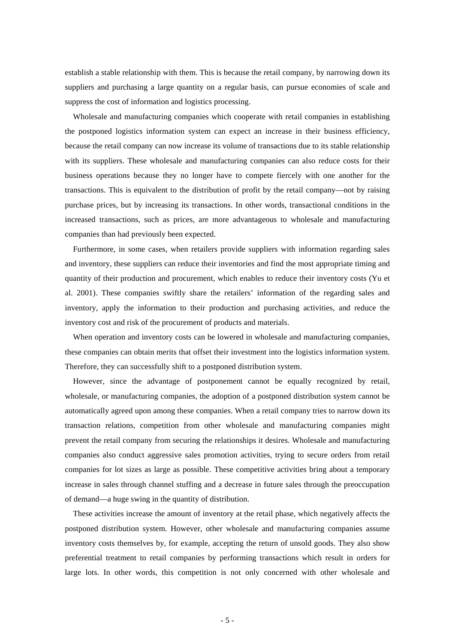establish a stable relationship with them. This is because the retail company, by narrowing down its suppliers and purchasing a large quantity on a regular basis, can pursue economies of scale and suppress the cost of information and logistics processing.

Wholesale and manufacturing companies which cooperate with retail companies in establishing the postponed logistics information system can expect an increase in their business efficiency, because the retail company can now increase its volume of transactions due to its stable relationship with its suppliers. These wholesale and manufacturing companies can also reduce costs for their business operations because they no longer have to compete fiercely with one another for the transactions. This is equivalent to the distribution of profit by the retail company—not by raising purchase prices, but by increasing its transactions. In other words, transactional conditions in the increased transactions, such as prices, are more advantageous to wholesale and manufacturing companies than had previously been expected.

Furthermore, in some cases, when retailers provide suppliers with information regarding sales and inventory, these suppliers can reduce their inventories and find the most appropriate timing and quantity of their production and procurement, which enables to reduce their inventory costs (Yu et al. 2001). These companies swiftly share the retailers' information of the regarding sales and inventory, apply the information to their production and purchasing activities, and reduce the inventory cost and risk of the procurement of products and materials.

When operation and inventory costs can be lowered in wholesale and manufacturing companies, these companies can obtain merits that offset their investment into the logistics information system. Therefore, they can successfully shift to a postponed distribution system.

However, since the advantage of postponement cannot be equally recognized by retail, wholesale, or manufacturing companies, the adoption of a postponed distribution system cannot be automatically agreed upon among these companies. When a retail company tries to narrow down its transaction relations, competition from other wholesale and manufacturing companies might prevent the retail company from securing the relationships it desires. Wholesale and manufacturing companies also conduct aggressive sales promotion activities, trying to secure orders from retail companies for lot sizes as large as possible. These competitive activities bring about a temporary increase in sales through channel stuffing and a decrease in future sales through the preoccupation of demand—a huge swing in the quantity of distribution.

These activities increase the amount of inventory at the retail phase, which negatively affects the postponed distribution system. However, other wholesale and manufacturing companies assume inventory costs themselves by, for example, accepting the return of unsold goods. They also show preferential treatment to retail companies by performing transactions which result in orders for large lots. In other words, this competition is not only concerned with other wholesale and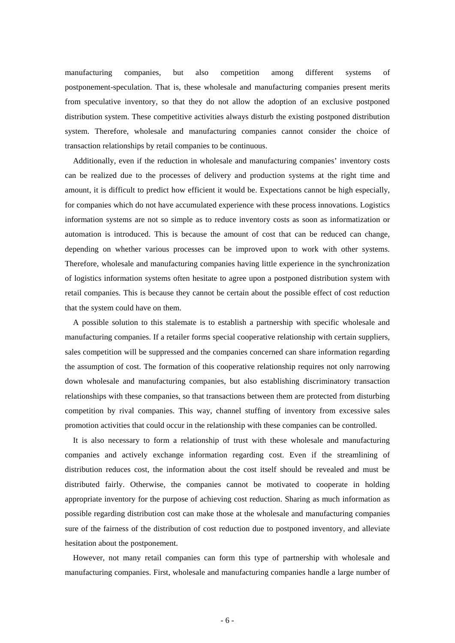manufacturing companies, but also competition among different systems of postponement-speculation. That is, these wholesale and manufacturing companies present merits from speculative inventory, so that they do not allow the adoption of an exclusive postponed distribution system. These competitive activities always disturb the existing postponed distribution system. Therefore, wholesale and manufacturing companies cannot consider the choice of transaction relationships by retail companies to be continuous.

Additionally, even if the reduction in wholesale and manufacturing companies' inventory costs can be realized due to the processes of delivery and production systems at the right time and amount, it is difficult to predict how efficient it would be. Expectations cannot be high especially, for companies which do not have accumulated experience with these process innovations. Logistics information systems are not so simple as to reduce inventory costs as soon as informatization or automation is introduced. This is because the amount of cost that can be reduced can change, depending on whether various processes can be improved upon to work with other systems. Therefore, wholesale and manufacturing companies having little experience in the synchronization of logistics information systems often hesitate to agree upon a postponed distribution system with retail companies. This is because they cannot be certain about the possible effect of cost reduction that the system could have on them.

A possible solution to this stalemate is to establish a partnership with specific wholesale and manufacturing companies. If a retailer forms special cooperative relationship with certain suppliers, sales competition will be suppressed and the companies concerned can share information regarding the assumption of cost. The formation of this cooperative relationship requires not only narrowing down wholesale and manufacturing companies, but also establishing discriminatory transaction relationships with these companies, so that transactions between them are protected from disturbing competition by rival companies. This way, channel stuffing of inventory from excessive sales promotion activities that could occur in the relationship with these companies can be controlled.

It is also necessary to form a relationship of trust with these wholesale and manufacturing companies and actively exchange information regarding cost. Even if the streamlining of distribution reduces cost, the information about the cost itself should be revealed and must be distributed fairly. Otherwise, the companies cannot be motivated to cooperate in holding appropriate inventory for the purpose of achieving cost reduction. Sharing as much information as possible regarding distribution cost can make those at the wholesale and manufacturing companies sure of the fairness of the distribution of cost reduction due to postponed inventory, and alleviate hesitation about the postponement.

However, not many retail companies can form this type of partnership with wholesale and manufacturing companies. First, wholesale and manufacturing companies handle a large number of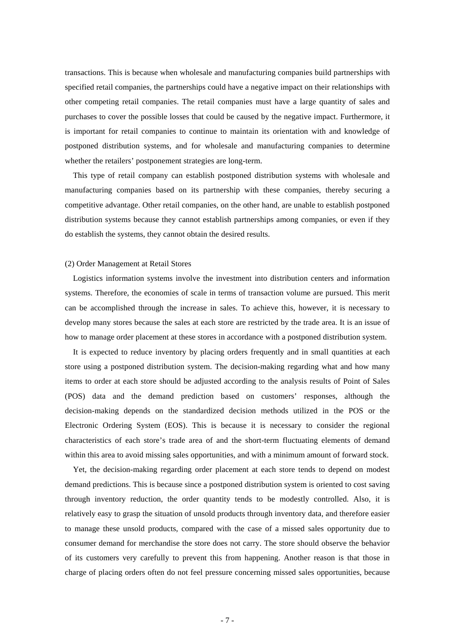transactions. This is because when wholesale and manufacturing companies build partnerships with specified retail companies, the partnerships could have a negative impact on their relationships with other competing retail companies. The retail companies must have a large quantity of sales and purchases to cover the possible losses that could be caused by the negative impact. Furthermore, it is important for retail companies to continue to maintain its orientation with and knowledge of postponed distribution systems, and for wholesale and manufacturing companies to determine whether the retailers' postponement strategies are long-term.

This type of retail company can establish postponed distribution systems with wholesale and manufacturing companies based on its partnership with these companies, thereby securing a competitive advantage. Other retail companies, on the other hand, are unable to establish postponed distribution systems because they cannot establish partnerships among companies, or even if they do establish the systems, they cannot obtain the desired results.

#### (2) Order Management at Retail Stores

Logistics information systems involve the investment into distribution centers and information systems. Therefore, the economies of scale in terms of transaction volume are pursued. This merit can be accomplished through the increase in sales. To achieve this, however, it is necessary to develop many stores because the sales at each store are restricted by the trade area. It is an issue of how to manage order placement at these stores in accordance with a postponed distribution system.

It is expected to reduce inventory by placing orders frequently and in small quantities at each store using a postponed distribution system. The decision-making regarding what and how many items to order at each store should be adjusted according to the analysis results of Point of Sales (POS) data and the demand prediction based on customers' responses, although the decision-making depends on the standardized decision methods utilized in the POS or the Electronic Ordering System (EOS). This is because it is necessary to consider the regional characteristics of each store's trade area of and the short-term fluctuating elements of demand within this area to avoid missing sales opportunities, and with a minimum amount of forward stock.

Yet, the decision-making regarding order placement at each store tends to depend on modest demand predictions. This is because since a postponed distribution system is oriented to cost saving through inventory reduction, the order quantity tends to be modestly controlled. Also, it is relatively easy to grasp the situation of unsold products through inventory data, and therefore easier to manage these unsold products, compared with the case of a missed sales opportunity due to consumer demand for merchandise the store does not carry. The store should observe the behavior of its customers very carefully to prevent this from happening. Another reason is that those in charge of placing orders often do not feel pressure concerning missed sales opportunities, because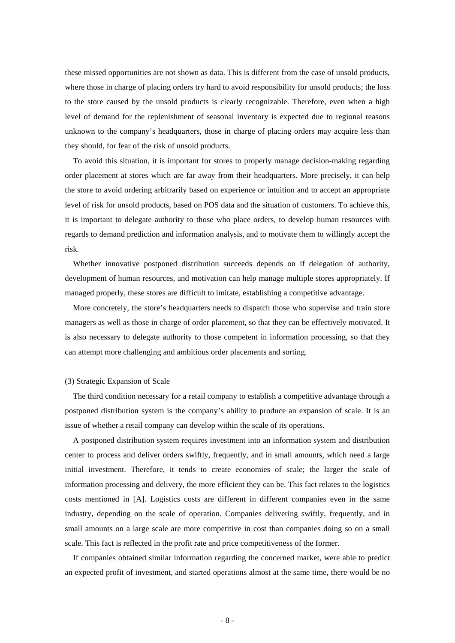these missed opportunities are not shown as data. This is different from the case of unsold products, where those in charge of placing orders try hard to avoid responsibility for unsold products; the loss to the store caused by the unsold products is clearly recognizable. Therefore, even when a high level of demand for the replenishment of seasonal inventory is expected due to regional reasons unknown to the company's headquarters, those in charge of placing orders may acquire less than they should, for fear of the risk of unsold products.

To avoid this situation, it is important for stores to properly manage decision-making regarding order placement at stores which are far away from their headquarters. More precisely, it can help the store to avoid ordering arbitrarily based on experience or intuition and to accept an appropriate level of risk for unsold products, based on POS data and the situation of customers. To achieve this, it is important to delegate authority to those who place orders, to develop human resources with regards to demand prediction and information analysis, and to motivate them to willingly accept the risk.

Whether innovative postponed distribution succeeds depends on if delegation of authority, development of human resources, and motivation can help manage multiple stores appropriately. If managed properly, these stores are difficult to imitate, establishing a competitive advantage.

More concretely, the store's headquarters needs to dispatch those who supervise and train store managers as well as those in charge of order placement, so that they can be effectively motivated. It is also necessary to delegate authority to those competent in information processing, so that they can attempt more challenging and ambitious order placements and sorting.

#### (3) Strategic Expansion of Scale

The third condition necessary for a retail company to establish a competitive advantage through a postponed distribution system is the company's ability to produce an expansion of scale. It is an issue of whether a retail company can develop within the scale of its operations.

A postponed distribution system requires investment into an information system and distribution center to process and deliver orders swiftly, frequently, and in small amounts, which need a large initial investment. Therefore, it tends to create economies of scale; the larger the scale of information processing and delivery, the more efficient they can be. This fact relates to the logistics costs mentioned in [A]. Logistics costs are different in different companies even in the same industry, depending on the scale of operation. Companies delivering swiftly, frequently, and in small amounts on a large scale are more competitive in cost than companies doing so on a small scale. This fact is reflected in the profit rate and price competitiveness of the former.

If companies obtained similar information regarding the concerned market, were able to predict an expected profit of investment, and started operations almost at the same time, there would be no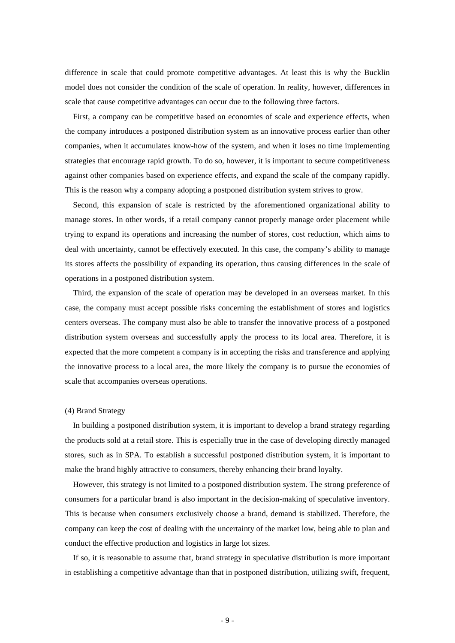difference in scale that could promote competitive advantages. At least this is why the Bucklin model does not consider the condition of the scale of operation. In reality, however, differences in scale that cause competitive advantages can occur due to the following three factors.

First, a company can be competitive based on economies of scale and experience effects, when the company introduces a postponed distribution system as an innovative process earlier than other companies, when it accumulates know-how of the system, and when it loses no time implementing strategies that encourage rapid growth. To do so, however, it is important to secure competitiveness against other companies based on experience effects, and expand the scale of the company rapidly. This is the reason why a company adopting a postponed distribution system strives to grow.

Second, this expansion of scale is restricted by the aforementioned organizational ability to manage stores. In other words, if a retail company cannot properly manage order placement while trying to expand its operations and increasing the number of stores, cost reduction, which aims to deal with uncertainty, cannot be effectively executed. In this case, the company's ability to manage its stores affects the possibility of expanding its operation, thus causing differences in the scale of operations in a postponed distribution system.

Third, the expansion of the scale of operation may be developed in an overseas market. In this case, the company must accept possible risks concerning the establishment of stores and logistics centers overseas. The company must also be able to transfer the innovative process of a postponed distribution system overseas and successfully apply the process to its local area. Therefore, it is expected that the more competent a company is in accepting the risks and transference and applying the innovative process to a local area, the more likely the company is to pursue the economies of scale that accompanies overseas operations.

#### (4) Brand Strategy

In building a postponed distribution system, it is important to develop a brand strategy regarding the products sold at a retail store. This is especially true in the case of developing directly managed stores, such as in SPA. To establish a successful postponed distribution system, it is important to make the brand highly attractive to consumers, thereby enhancing their brand loyalty.

However, this strategy is not limited to a postponed distribution system. The strong preference of consumers for a particular brand is also important in the decision-making of speculative inventory. This is because when consumers exclusively choose a brand, demand is stabilized. Therefore, the company can keep the cost of dealing with the uncertainty of the market low, being able to plan and conduct the effective production and logistics in large lot sizes.

If so, it is reasonable to assume that, brand strategy in speculative distribution is more important in establishing a competitive advantage than that in postponed distribution, utilizing swift, frequent,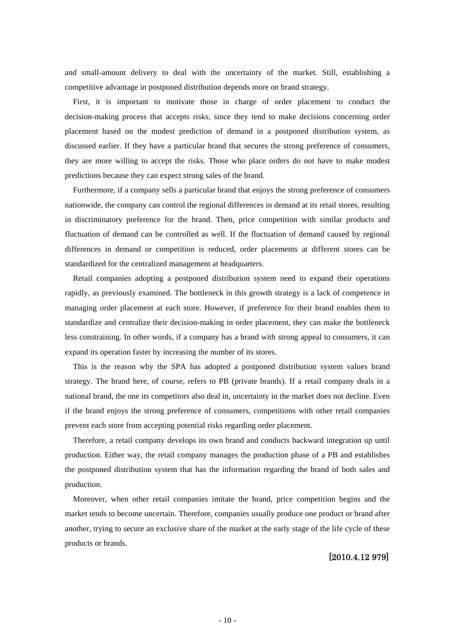and small-amount delivery to deal with the uncertainty of the market. Still, establishing a competitive advantage in postponed distribution depends more on brand strategy.

First, it is important to motivate those in charge of order placement to conduct the decision-making process that accepts risks, since they tend to make decisions concerning order placement based on the modest prediction of demand in a postponed distribution system, as discussed earlier. If they have a particular brand that secures the strong preference of consumers, they are more willing to accept the risks. Those who place orders do not have to make modest predictions because they can expect strong sales of the brand.

Furthermore, if a company sells a particular brand that enjoys the strong preference of consumers nationwide, the company can control the regional differences in demand at its retail stores, resulting in discriminatory preference for the brand. Then, price competition with similar products and fluctuation of demand can be controlled as well. If the fluctuation of demand caused by regional differences in demand or competition is reduced, order placements at different stores can be standardized for the centralized management at headquarters.

Retail companies adopting a postponed distribution system need to expand their operations rapidly, as previously examined. The bottleneck in this growth strategy is a lack of competence in managing order placement at each store. However, if preference for their brand enables them to standardize and centralize their decision-making in order placement, they can make the bottleneck less constraining. In other words, if a company has a brand with strong appeal to consumers, it can expand its operation faster by increasing the number of its stores.

This is the reason why the SPA has adopted a postponed distribution system values brand strategy. The brand here, of course, refers to PB (private brands). If a retail company deals in a national brand, the one its competitors also deal in, uncertainty in the market does not decline. Even if the brand enjoys the strong preference of consumers, competitions with other retail companies prevent each store from accepting potential risks regarding order placement.

Therefore, a retail company develops its own brand and conducts backward integration up until production. Either way, the retail company manages the production phase of a PB and establishes the postponed distribution system that has the information regarding the brand of both sales and production.

Moreover, when other retail companies imitate the brand, price competition begins and the market tends to become uncertain. Therefore, companies usually produce one product or brand after another, trying to secure an exclusive share of the market at the early stage of the life cycle of these products or brands.

### [2010.4.12 979]